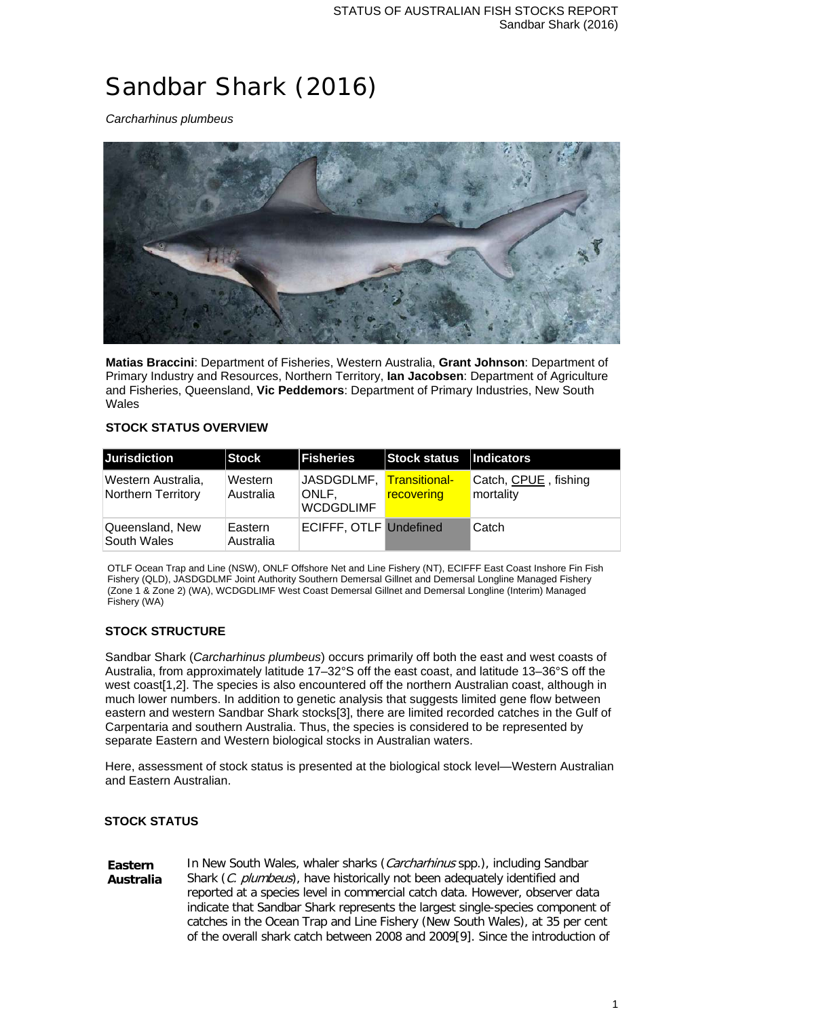# Sandbar Shark (2016)

*Carcharhinus plumbeus*



**Matias Braccini**: Department of Fisheries, Western Australia, **Grant Johnson**: Department of Primary Industry and Resources, Northern Territory, **Ian Jacobsen**: Department of Agriculture and Fisheries, Queensland, **Vic Peddemors**: Department of Primary Industries, New South Wales

## **STOCK STATUS OVERVIEW**

| Jurisdiction                             | Stock                | <b>Fisheries</b>              | Stock status   Indicators |                                   |
|------------------------------------------|----------------------|-------------------------------|---------------------------|-----------------------------------|
| Western Australia,<br>Northern Territory | Western<br>Australia | ONLF.<br><b>WCDGDLIMF</b>     | recovering                | Catch, CPUE, fishing<br>mortality |
| Queensland, New<br>South Wales           | Eastern<br>Australia | <b>ECIFFF, OTLF Undefined</b> |                           | Catch                             |

OTLF Ocean Trap and Line (NSW), ONLF Offshore Net and Line Fishery (NT), ECIFFF East Coast Inshore Fin Fish Fishery (QLD), JASDGDLMF Joint Authority Southern Demersal Gillnet and Demersal Longline Managed Fishery (Zone 1 & Zone 2) (WA), WCDGDLIMF West Coast Demersal Gillnet and Demersal Longline (Interim) Managed Fishery (WA)

## **STOCK STRUCTURE**

Sandbar Shark (*Carcharhinus plumbeus*) occurs primarily off both the east and west coasts of Australia, from approximately latitude 17–32°S off the east coast, and latitude 13–36°S off the west coast[1,2]. The species is also encountered off the northern Australian coast, although in much lower numbers. In addition to genetic analysis that suggests limited gene flow between eastern and western Sandbar Shark stocks[3], there are limited recorded catches in the Gulf of Carpentaria and southern Australia. Thus, the species is considered to be represented by separate Eastern and Western biological stocks in Australian waters.

Here, assessment of stock status is presented at the biological stock level—Western Australian and Eastern Australian.

## **STOCK STATUS**

**Eastern Australia** In New South Wales, whaler sharks (Carcharhinus spp.), including Sandbar Shark (C. plumbeus), have historically not been adequately identified and reported at a species level in commercial catch data. However, observer data indicate that Sandbar Shark represents the largest single-species component of catches in the Ocean Trap and Line Fishery (New South Wales), at 35 per cent of the overall shark catch between 2008 and 2009[9]. Since the introduction of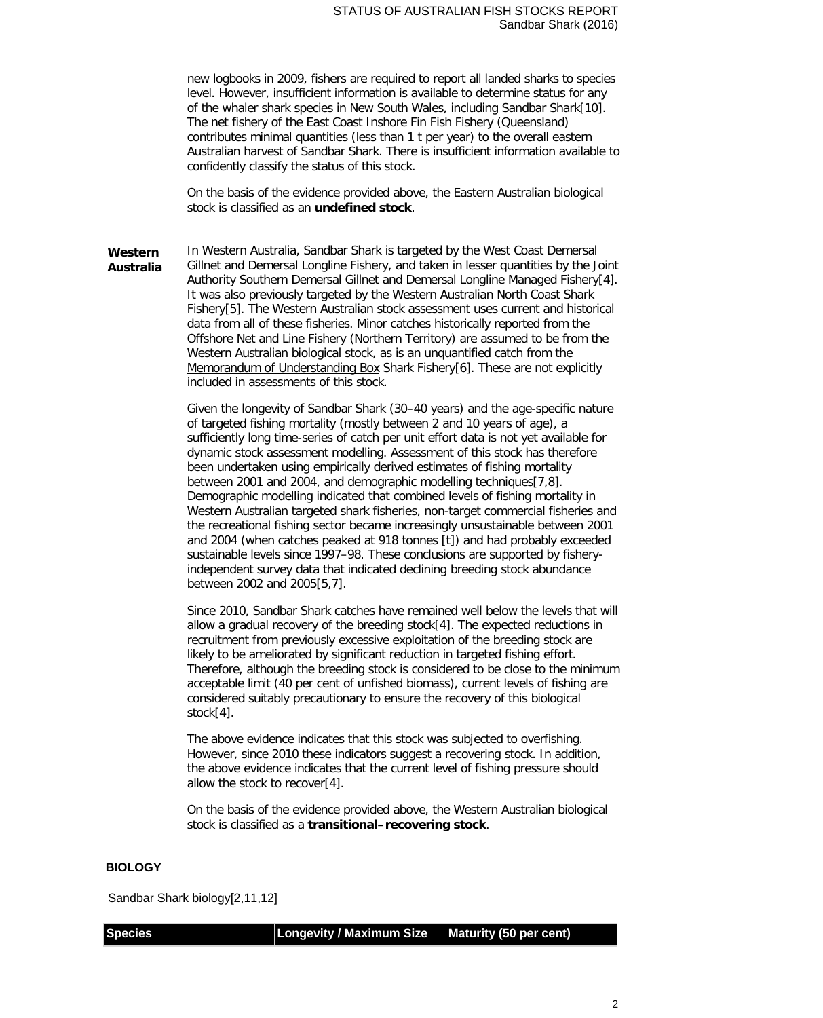new logbooks in 2009, fishers are required to report all landed sharks to species level. However, insufficient information is available to determine status for any of the whaler shark species in New South Wales, including Sandbar Shark[10]. The net fishery of the East Coast Inshore Fin Fish Fishery (Queensland) contributes minimal quantities (less than 1 t per year) to the overall eastern Australian harvest of Sandbar Shark. There is insufficient information available to confidently classify the status of this stock.

On the basis of the evidence provided above, the Eastern Australian biological stock is classified as an **undefined stock**.

**Western Australia** In Western Australia, Sandbar Shark is targeted by the West Coast Demersal Gillnet and Demersal Longline Fishery, and taken in lesser quantities by the Joint Authority Southern Demersal Gillnet and Demersal Longline Managed Fishery[4]. It was also previously targeted by the Western Australian North Coast Shark Fishery[5]. The Western Australian stock assessment uses current and historical data from all of these fisheries. Minor catches historically reported from the Offshore Net and Line Fishery (Northern Territory) are assumed to be from the Western Australian biological stock, as is an unquantified catch from the Memorandum of Understanding Box Shark Fishery[6]. These are not explicitly included in assessments of this stock.

> Given the longevity of Sandbar Shark (30–40 years) and the age-specific nature of targeted fishing mortality (mostly between 2 and 10 years of age), a sufficiently long time-series of catch per unit effort data is not yet available for dynamic stock assessment modelling. Assessment of this stock has therefore been undertaken using empirically derived estimates of fishing mortality between 2001 and 2004, and demographic modelling techniques[7,8]. Demographic modelling indicated that combined levels of fishing mortality in Western Australian targeted shark fisheries, non-target commercial fisheries and the recreational fishing sector became increasingly unsustainable between 2001 and 2004 (when catches peaked at 918 tonnes [t]) and had probably exceeded sustainable levels since 1997–98. These conclusions are supported by fisheryindependent survey data that indicated declining breeding stock abundance between 2002 and 2005[5,7].

> Since 2010, Sandbar Shark catches have remained well below the levels that will allow a gradual recovery of the breeding stock[4]. The expected reductions in recruitment from previously excessive exploitation of the breeding stock are likely to be ameliorated by significant reduction in targeted fishing effort. Therefore, although the breeding stock is considered to be close to the minimum acceptable limit (40 per cent of unfished biomass), current levels of fishing are considered suitably precautionary to ensure the recovery of this biological stock[4].

The above evidence indicates that this stock was subjected to overfishing. However, since 2010 these indicators suggest a recovering stock. In addition, the above evidence indicates that the current level of fishing pressure should allow the stock to recover[4].

On the basis of the evidence provided above, the Western Australian biological stock is classified as a **transitional–recovering stock**.

#### **BIOLOGY**

Sandbar Shark biology[2,11,12]

**Species Longevity / Maximum Size Maturity (50 per cent)**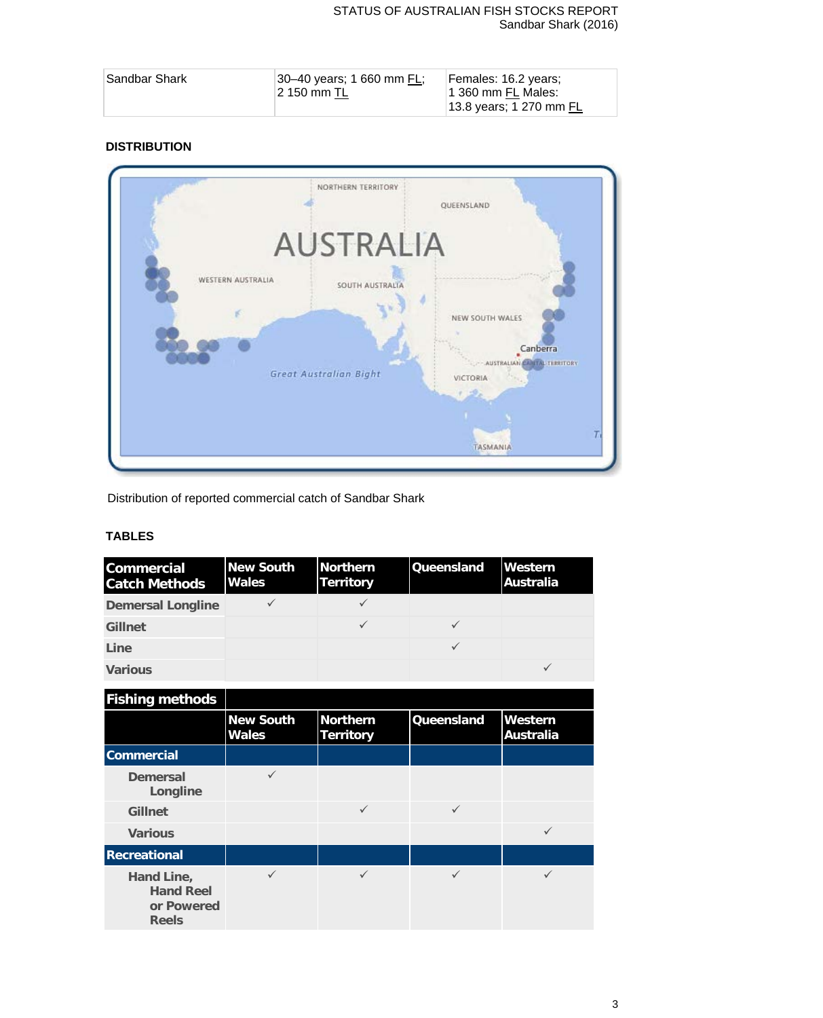## STATUS OF AUSTRALIAN FISH STOCKS REPORT Sandbar Shark (2016)

| Sandbar Shark_ | $ 30 - 40$ years; 1 660 mm FL;<br>12 150 mm TL | Females: 16.2 years;<br>1 360 mm FL Males: |
|----------------|------------------------------------------------|--------------------------------------------|
|                |                                                | 13.8 years; 1 270 mm FL                    |

## **DISTRIBUTION**



Distribution of reported commercial catch of Sandbar Shark

## **TABLES**

| <b>Commercial</b><br><b>Catch Methods</b> | <b>New South</b><br><b>Wales</b> | <b>Northern</b><br>Territory | <b>Queensland</b> | Western<br><b>Australia</b> |
|-------------------------------------------|----------------------------------|------------------------------|-------------------|-----------------------------|
| <b>Demersal Longline</b>                  |                                  |                              |                   |                             |
| <b>Gillnet</b>                            |                                  |                              |                   |                             |
| Line                                      |                                  |                              |                   |                             |
| <b>Various</b>                            |                                  |                              |                   |                             |

| <b>Fishing methods</b>                                       |                                  |                                     |                   |                             |
|--------------------------------------------------------------|----------------------------------|-------------------------------------|-------------------|-----------------------------|
|                                                              | <b>New South</b><br><b>Wales</b> | <b>Northern</b><br><b>Territory</b> | <b>Queensland</b> | Western<br><b>Australia</b> |
| <b>Commercial</b>                                            |                                  |                                     |                   |                             |
| <b>Demersal</b><br>Longline                                  |                                  |                                     |                   |                             |
| <b>Gillnet</b>                                               |                                  | $\checkmark$                        | $\checkmark$      |                             |
| <b>Various</b>                                               |                                  |                                     |                   | $\checkmark$                |
| <b>Recreational</b>                                          |                                  |                                     |                   |                             |
| Hand Line,<br><b>Hand Reel</b><br>or Powered<br><b>Reels</b> |                                  |                                     |                   |                             |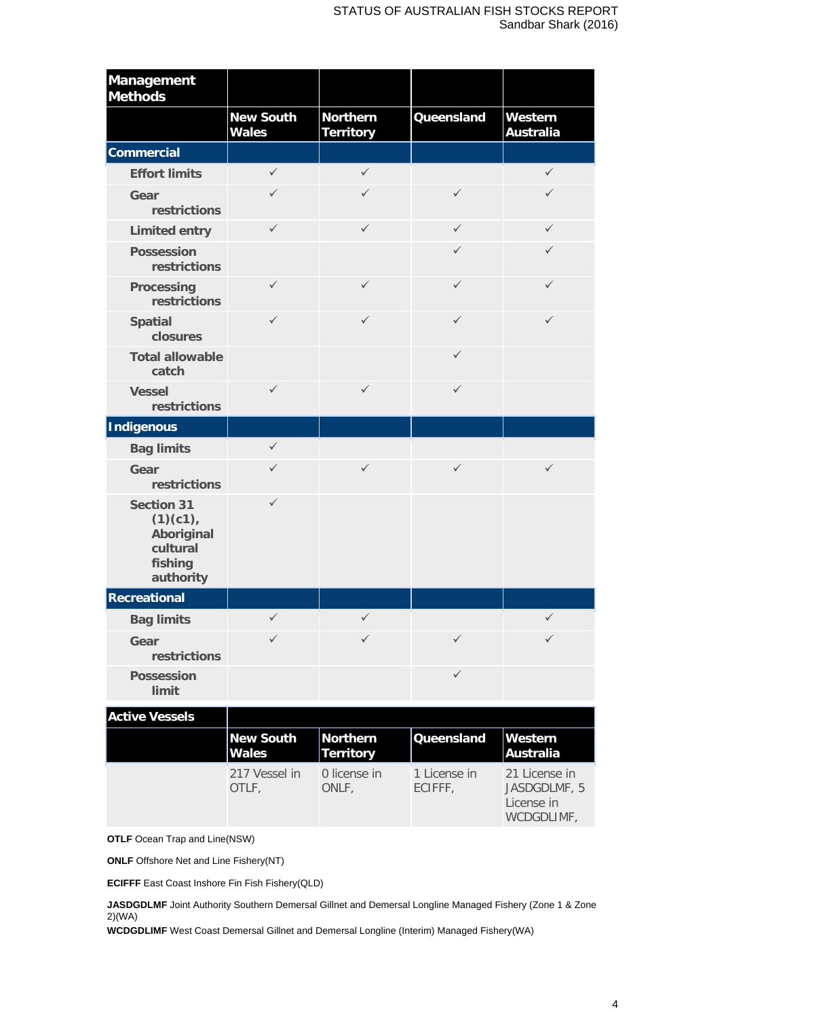| <b>Management</b><br><b>Methods</b>                                             |                                  |                                     |                         |                                             |
|---------------------------------------------------------------------------------|----------------------------------|-------------------------------------|-------------------------|---------------------------------------------|
|                                                                                 | <b>New South</b><br><b>Wales</b> | <b>Northern</b><br><b>Territory</b> | Queensland              | Western<br><b>Australia</b>                 |
| <b>Commercial</b>                                                               |                                  |                                     |                         |                                             |
| <b>Effort limits</b>                                                            | $\checkmark$                     | $\checkmark$                        |                         | $\checkmark$                                |
| Gear<br>restrictions                                                            | ✓                                | $\checkmark$                        | $\checkmark$            | ✓                                           |
| <b>Limited entry</b>                                                            | $\checkmark$                     | $\checkmark$                        | $\checkmark$            | $\checkmark$                                |
| <b>Possession</b><br>restrictions                                               |                                  |                                     | ✓                       | ✓                                           |
| <b>Processing</b><br>restrictions                                               | $\checkmark$                     | $\checkmark$                        | $\checkmark$            | $\checkmark$                                |
| <b>Spatial</b><br>closures                                                      | $\checkmark$                     | $\checkmark$                        | $\checkmark$            | $\checkmark$                                |
| <b>Total allowable</b><br>catch                                                 |                                  |                                     | $\checkmark$            |                                             |
| <b>Vessel</b><br>restrictions                                                   | $\checkmark$                     | $\checkmark$                        | $\checkmark$            |                                             |
| <b>Indigenous</b>                                                               |                                  |                                     |                         |                                             |
| <b>Bag limits</b>                                                               | $\checkmark$                     |                                     |                         |                                             |
| Gear<br>restrictions                                                            | ✓                                | $\checkmark$                        | $\checkmark$            | $\checkmark$                                |
| <b>Section 31</b><br>(1)(c1),<br>Aboriginal<br>cultural<br>fishing<br>authority | $\checkmark$                     |                                     |                         |                                             |
| <b>Recreational</b>                                                             |                                  |                                     |                         |                                             |
| <b>Bag limits</b>                                                               | ✓                                | $\checkmark$                        |                         | $\checkmark$                                |
| Gear<br>restrictions                                                            | ✓                                | $\checkmark$                        | $\checkmark$            | ✓                                           |
| <b>Possession</b><br>limit                                                      |                                  |                                     | $\checkmark$            |                                             |
| <b>Active Vessels</b>                                                           |                                  |                                     |                         |                                             |
|                                                                                 | <b>New South</b><br><b>Wales</b> | <b>Northern</b><br><b>Territory</b> | Queensland              | Western<br><b>Australia</b>                 |
|                                                                                 | 217 Vessel in<br>OTLF,           | 0 license in<br>ONLF,               | 1 License in<br>ECIFFF, | 21 License in<br>JASDGDLMF, 5<br>License in |

**OTLF** Ocean Trap and Line(NSW)

**ONLF** Offshore Net and Line Fishery(NT)

**ECIFFF** East Coast Inshore Fin Fish Fishery(QLD)

**JASDGDLMF** Joint Authority Southern Demersal Gillnet and Demersal Longline Managed Fishery (Zone 1 & Zone 2)(WA)

**WCDGDLIMF** West Coast Demersal Gillnet and Demersal Longline (Interim) Managed Fishery(WA)

WCDGDLIMF,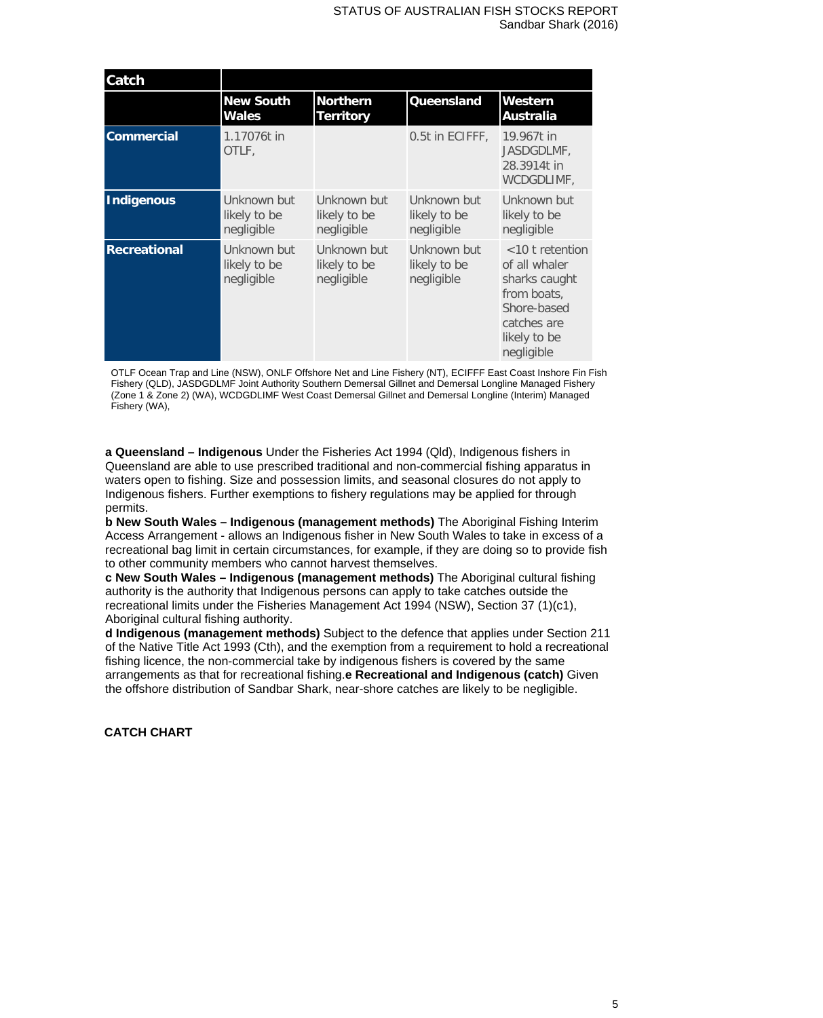| Catch               |                                           |                                           |                                           |                                                                                                                                 |
|---------------------|-------------------------------------------|-------------------------------------------|-------------------------------------------|---------------------------------------------------------------------------------------------------------------------------------|
|                     | <b>New South</b><br><b>Wales</b>          | <b>Northern</b><br><b>Territory</b>       | Queensland                                | Western<br>Australia                                                                                                            |
| <b>Commercial</b>   | 1.17076t in<br>OTLF.                      |                                           | 0.5t in ECIFFF,                           | 19.967t in<br>JASDGDLMF.<br>28.3914t in<br>WCDGDLIMF,                                                                           |
| Indigenous          | Unknown but<br>likely to be<br>negligible | Unknown but<br>likely to be<br>negligible | Unknown but<br>likely to be<br>negligible | Unknown but<br>likely to be<br>negligible                                                                                       |
| <b>Recreational</b> | Unknown but<br>likely to be<br>negligible | Unknown but<br>likely to be<br>negligible | Unknown but<br>likely to be<br>negligible | $<$ 10 t retention<br>of all whaler<br>sharks caught<br>from boats.<br>Shore-based<br>catches are<br>likely to be<br>negligible |

OTLF Ocean Trap and Line (NSW), ONLF Offshore Net and Line Fishery (NT), ECIFFF East Coast Inshore Fin Fish Fishery (QLD), JASDGDLMF Joint Authority Southern Demersal Gillnet and Demersal Longline Managed Fishery (Zone 1 & Zone 2) (WA), WCDGDLIMF West Coast Demersal Gillnet and Demersal Longline (Interim) Managed Fishery (WA),

**a Queensland – Indigenous** Under the Fisheries Act 1994 (Qld), Indigenous fishers in Queensland are able to use prescribed traditional and non-commercial fishing apparatus in waters open to fishing. Size and possession limits, and seasonal closures do not apply to Indigenous fishers. Further exemptions to fishery regulations may be applied for through permits.

**b New South Wales – Indigenous (management methods)** The Aboriginal Fishing Interim Access Arrangement - allows an Indigenous fisher in New South Wales to take in excess of a recreational bag limit in certain circumstances, for example, if they are doing so to provide fish to other community members who cannot harvest themselves.

**c New South Wales – Indigenous (management methods)** The Aboriginal cultural fishing authority is the authority that Indigenous persons can apply to take catches outside the recreational limits under the Fisheries Management Act 1994 (NSW), Section 37 (1)(c1), Aboriginal cultural fishing authority.

**d Indigenous (management methods)** Subject to the defence that applies under Section 211 of the Native Title Act 1993 (Cth), and the exemption from a requirement to hold a recreational fishing licence, the non-commercial take by indigenous fishers is covered by the same arrangements as that for recreational fishing.**e Recreational and Indigenous (catch)** Given the offshore distribution of Sandbar Shark, near-shore catches are likely to be negligible.

## **CATCH CHART**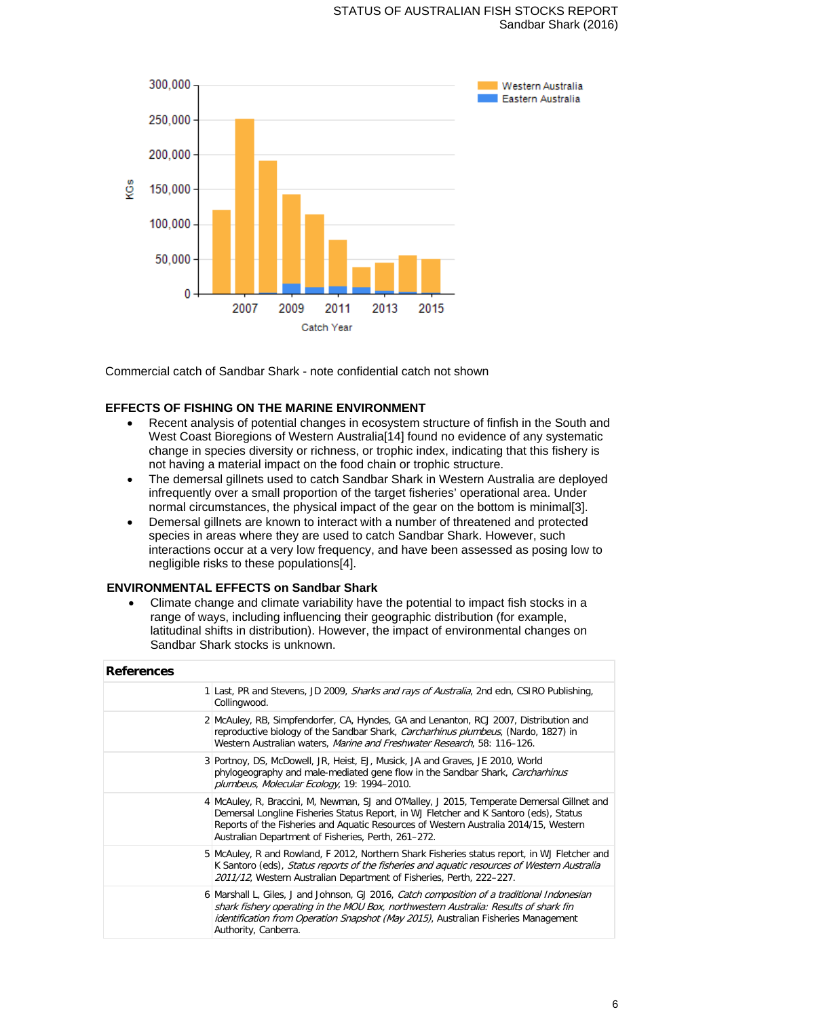## STATUS OF AUSTRALIAN FISH STOCKS REPORT Sandbar Shark (2016)



Commercial catch of Sandbar Shark - note confidential catch not shown

#### **EFFECTS OF FISHING ON THE MARINE ENVIRONMENT**

- Recent analysis of potential changes in ecosystem structure of finfish in the South and West Coast Bioregions of Western Australia<sup>[14]</sup> found no evidence of any systematic change in species diversity or richness, or trophic index, indicating that this fishery is not having a material impact on the food chain or trophic structure.
- The demersal gillnets used to catch Sandbar Shark in Western Australia are deployed infrequently over a small proportion of the target fisheries' operational area. Under normal circumstances, the physical impact of the gear on the bottom is minimal[3].
- Demersal gillnets are known to interact with a number of threatened and protected species in areas where they are used to catch Sandbar Shark. However, such interactions occur at a very low frequency, and have been assessed as posing low to negligible risks to these populations[4].

## **ENVIRONMENTAL EFFECTS on Sandbar Shark**

• Climate change and climate variability have the potential to impact fish stocks in a range of ways, including influencing their geographic distribution (for example, latitudinal shifts in distribution). However, the impact of environmental changes on Sandbar Shark stocks is unknown.

| <b>References</b> |                                                                                                                                                                                                                                                                                                                                    |
|-------------------|------------------------------------------------------------------------------------------------------------------------------------------------------------------------------------------------------------------------------------------------------------------------------------------------------------------------------------|
|                   | 1 Last, PR and Stevens, JD 2009, <i>Sharks and rays of Australia</i> , 2nd edn, CSIRO Publishing,<br>Collingwood.                                                                                                                                                                                                                  |
|                   | 2 McAuley, RB, Simpfendorfer, CA, Hyndes, GA and Lenanton, RCJ 2007, Distribution and<br>reproductive biology of the Sandbar Shark, <i>Carcharhinus plumbeus</i> , (Nardo, 1827) in<br>Western Australian waters, Marine and Freshwater Research, 58: 116-126.                                                                     |
|                   | 3 Portnoy, DS, McDowell, JR, Heist, EJ, Musick, JA and Graves, JE 2010, World<br>phylogeography and male-mediated gene flow in the Sandbar Shark, Carcharhinus<br>plumbeus, Molecular Ecology, 19: 1994-2010.                                                                                                                      |
|                   | 4 McAuley, R, Braccini, M, Newman, SJ and O'Malley, J 2015, Temperate Demersal Gillnet and<br>Demersal Longline Fisheries Status Report, in WJ Fletcher and K Santoro (eds), Status<br>Reports of the Fisheries and Aquatic Resources of Western Australia 2014/15, Western<br>Australian Department of Fisheries, Perth, 261-272. |
|                   | 5 McAuley, R and Rowland, F 2012, Northern Shark Fisheries status report, in WJ Fletcher and<br>K Santoro (eds), Status reports of the fisheries and aquatic resources of Western Australia<br>2011/12, Western Australian Department of Fisheries, Perth, 222–227.                                                                |
|                   | 6 Marshall L, Giles, J and Johnson, GJ 2016, Catch composition of a traditional Indonesian<br>shark fishery operating in the MOU Box, northwestern Australia: Results of shark fin<br><i>identification from Operation Snapshot (May 2015)</i> , Australian Fisheries Management<br>Authority, Canberra.                           |